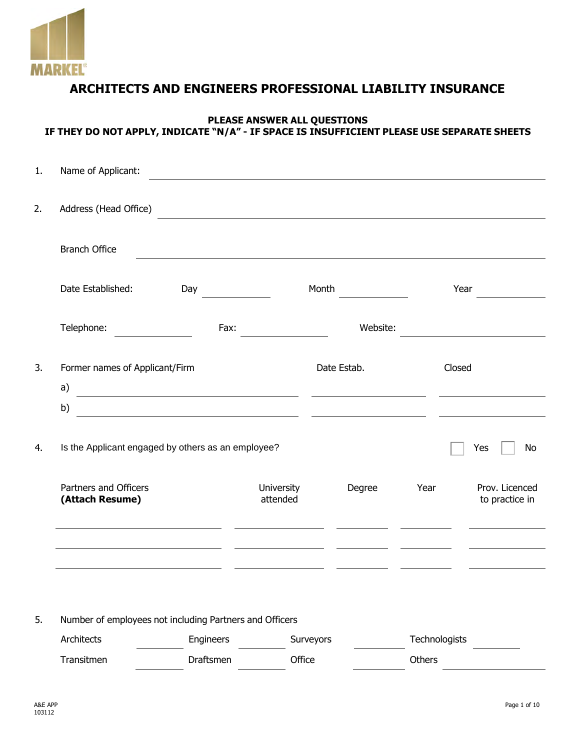

# **ARCHITECTS AND ENGINEERS PROFESSIONAL LIABILITY INSURANCE**

### **PLEASE ANSWER ALL QUESTIONS IF THEY DO NOT APPLY, INDICATE "N/A" - IF SPACE IS INSUFFICIENT PLEASE USE SEPARATE SHEETS**

| 1. | Name of Applicant:                                      |                                                                    |                        |           |             |               |                                  |
|----|---------------------------------------------------------|--------------------------------------------------------------------|------------------------|-----------|-------------|---------------|----------------------------------|
| 2. | Address (Head Office)                                   |                                                                    |                        |           |             |               |                                  |
|    | <b>Branch Office</b>                                    |                                                                    |                        |           |             |               |                                  |
|    | Date Established:                                       | Day                                                                |                        | Month     |             |               | Year                             |
|    | Telephone:                                              | Fax:                                                               |                        |           | Website:    |               |                                  |
| 3. | Former names of Applicant/Firm<br>a)                    | <u> 1989 - Johann Stone, mars et al. (b. 1989)</u>                 |                        |           | Date Estab. |               | Closed                           |
|    | b)                                                      | <u> 1980 - Andrea Station Barbara, amerikan personal (h. 1980)</u> |                        |           |             |               |                                  |
| 4. | Is the Applicant engaged by others as an employee?      |                                                                    |                        |           |             |               | Yes<br>No                        |
|    | Partners and Officers<br>(Attach Resume)                |                                                                    | University<br>attended |           | Degree      | Year          | Prov. Licenced<br>to practice in |
|    |                                                         |                                                                    |                        |           |             |               |                                  |
|    |                                                         |                                                                    |                        |           |             |               |                                  |
| 5. | Number of employees not including Partners and Officers |                                                                    |                        |           |             |               |                                  |
|    | Architects                                              | Engineers                                                          |                        | Surveyors |             | Technologists |                                  |
|    | Transitmen                                              | Draftsmen                                                          | Office                 |           |             | Others        |                                  |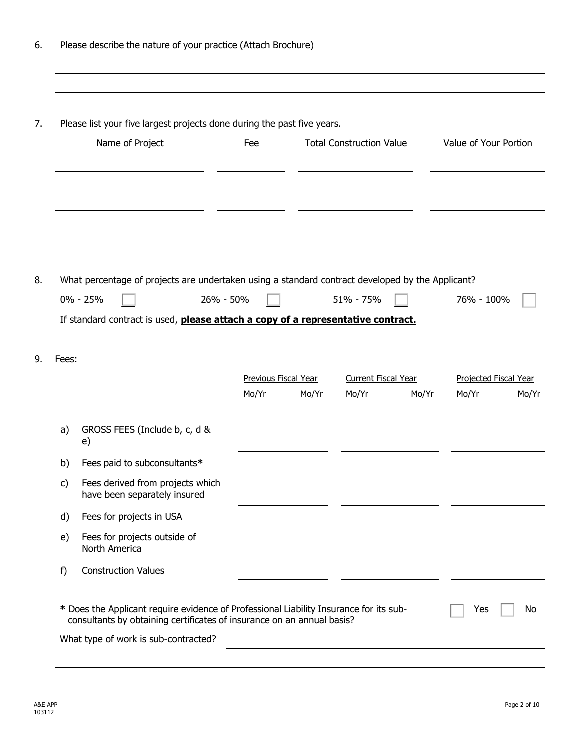|       | Please list your five largest projects done during the past five years.                          |                               |       |                                     |       |                                |       |
|-------|--------------------------------------------------------------------------------------------------|-------------------------------|-------|-------------------------------------|-------|--------------------------------|-------|
|       | Name of Project                                                                                  | Fee                           |       | <b>Total Construction Value</b>     |       | Value of Your Portion          |       |
|       |                                                                                                  |                               |       |                                     |       |                                |       |
|       | What percentage of projects are undertaken using a standard contract developed by the Applicant? |                               |       |                                     |       |                                |       |
|       | $0\% - 25\%$<br>26% - 50%                                                                        |                               |       | 51% - 75%                           |       | 76% - 100%                     |       |
|       | If standard contract is used, please attach a copy of a representative contract.                 |                               |       |                                     |       |                                |       |
| Fees: |                                                                                                  |                               |       |                                     |       |                                |       |
|       |                                                                                                  | Previous Fiscal Year<br>Mo/Yr | Mo/Yr | <b>Current Fiscal Year</b><br>Mo/Yr | Mo/Yr | Projected Fiscal Year<br>Mo/Yr |       |
| a)    | GROSS FEES (Include b, c, d &<br>e)                                                              |                               |       |                                     |       |                                |       |
|       | b) Fees paid to subconsultants*                                                                  |                               |       |                                     |       |                                |       |
| c)    | Fees derived from projects which<br>have been separately insured                                 |                               |       |                                     |       |                                | Mo/Yr |
| d)    | Fees for projects in USA                                                                         |                               |       |                                     |       |                                |       |
| e)    | Fees for projects outside of<br>North America                                                    |                               |       |                                     |       |                                |       |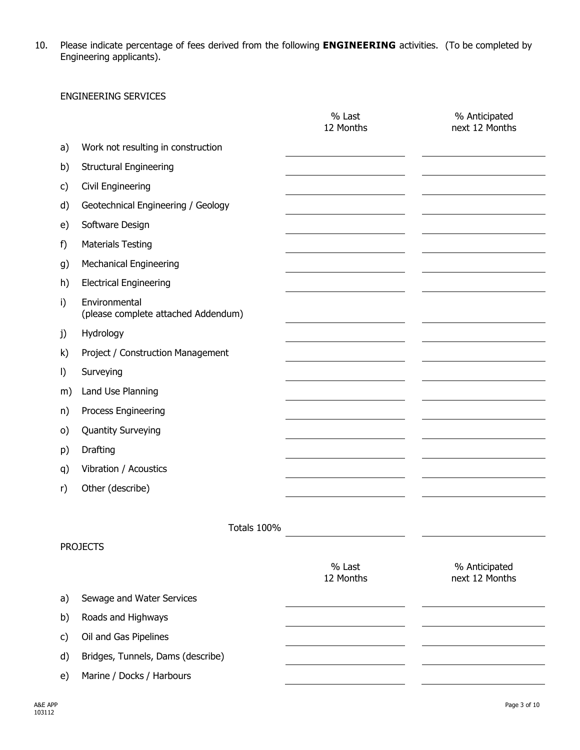10. Please indicate percentage of fees derived from the following **ENGINEERING** activities. (To be completed by Engineering applicants).

#### ENGINEERING SERVICES

|         |                                                      | % Last<br>12 Months | % Anticipated<br>next 12 Months |
|---------|------------------------------------------------------|---------------------|---------------------------------|
| a)      | Work not resulting in construction                   |                     |                                 |
| b)      | <b>Structural Engineering</b>                        |                     |                                 |
| c)      | Civil Engineering                                    |                     |                                 |
| d)      | Geotechnical Engineering / Geology                   |                     |                                 |
| e)      | Software Design                                      |                     |                                 |
| f)      | <b>Materials Testing</b>                             |                     |                                 |
| g)      | <b>Mechanical Engineering</b>                        |                     |                                 |
| h)      | <b>Electrical Engineering</b>                        |                     |                                 |
| i)      | Environmental<br>(please complete attached Addendum) |                     |                                 |
| j)      | Hydrology                                            |                     |                                 |
| k)      | Project / Construction Management                    |                     |                                 |
| $\vert$ | Surveying                                            |                     |                                 |
| m)      | Land Use Planning                                    |                     |                                 |
| n)      | Process Engineering                                  |                     |                                 |
| $\circ$ | <b>Quantity Surveying</b>                            |                     |                                 |
| p)      | Drafting                                             |                     |                                 |
| q)      | Vibration / Acoustics                                |                     |                                 |
| r)      | Other (describe)                                     |                     |                                 |
|         |                                                      |                     |                                 |
|         | Totals 100%                                          |                     |                                 |
|         | <b>PROJECTS</b>                                      |                     |                                 |
|         |                                                      | % Last<br>12 Months | % Anticipated<br>next 12 Months |
| a)      | Sewage and Water Services                            |                     |                                 |
| b)      | Roads and Highways                                   |                     |                                 |
| c)      | Oil and Gas Pipelines                                |                     |                                 |
| d)      | Bridges, Tunnels, Dams (describe)                    |                     |                                 |
| e)      | Marine / Docks / Harbours                            |                     |                                 |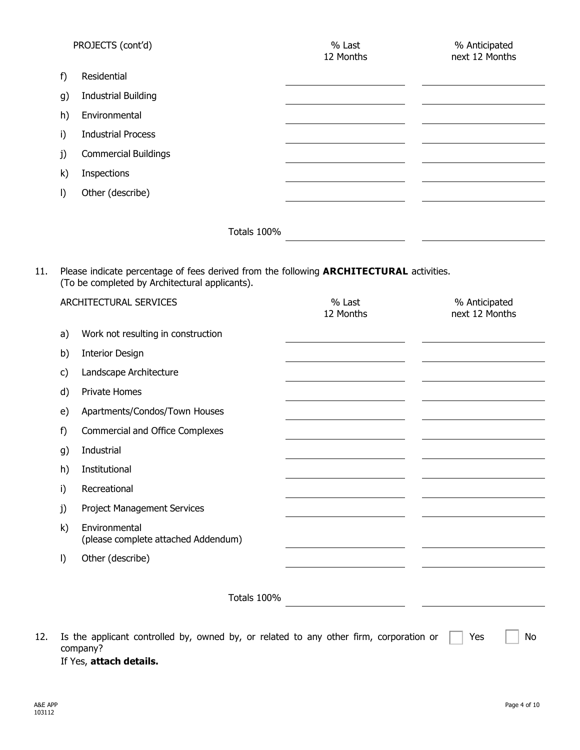|              | PROJECTS (cont'd)           |             | % Last<br>12 Months | % Anticipated<br>next 12 Months |
|--------------|-----------------------------|-------------|---------------------|---------------------------------|
| f)           | Residential                 |             |                     |                                 |
| g)           | <b>Industrial Building</b>  |             |                     |                                 |
| h)           | Environmental               |             |                     |                                 |
| i)           | <b>Industrial Process</b>   |             |                     |                                 |
| j)           | <b>Commercial Buildings</b> |             |                     |                                 |
| $\mathsf{k}$ | Inspections                 |             |                     |                                 |
| $\vert$      | Other (describe)            |             |                     |                                 |
|              |                             |             |                     |                                 |
|              |                             | Totals 100% |                     |                                 |

11. Please indicate percentage of fees derived from the following **ARCHITECTURAL** activities. (To be completed by Architectural applicants).

|     |         | ARCHITECTURAL SERVICES                                                                             | % Last<br>12 Months | % Anticipated<br>next 12 Months |
|-----|---------|----------------------------------------------------------------------------------------------------|---------------------|---------------------------------|
|     | a)      | Work not resulting in construction                                                                 |                     |                                 |
|     | b)      | <b>Interior Design</b>                                                                             |                     |                                 |
|     | c)      | Landscape Architecture                                                                             |                     |                                 |
|     | d)      | Private Homes                                                                                      |                     |                                 |
|     | e)      | Apartments/Condos/Town Houses                                                                      |                     |                                 |
|     | f)      | <b>Commercial and Office Complexes</b>                                                             |                     |                                 |
|     | g)      | Industrial                                                                                         |                     |                                 |
|     | h)      | Institutional                                                                                      |                     |                                 |
|     | i)      | Recreational                                                                                       |                     |                                 |
|     | j)      | Project Management Services                                                                        |                     |                                 |
|     | k)      | Environmental<br>(please complete attached Addendum)                                               |                     |                                 |
|     | $\vert$ | Other (describe)                                                                                   |                     |                                 |
|     |         | Totals 100%                                                                                        |                     |                                 |
| 12. |         | Is the applicant controlled by, owned by, or related to any other firm, corporation or<br>company? |                     | Yes<br>No                       |

If Yes, **attach details.**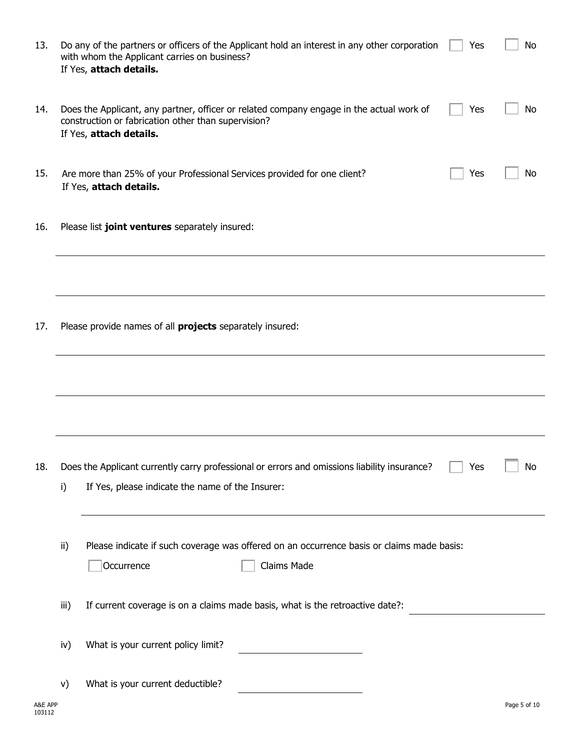| 13.     |      | Do any of the partners or officers of the Applicant hold an interest in any other corporation<br>with whom the Applicant carries on business?<br>If Yes, attach details.   | Yes | <b>No</b>    |
|---------|------|----------------------------------------------------------------------------------------------------------------------------------------------------------------------------|-----|--------------|
| 14.     |      | Does the Applicant, any partner, officer or related company engage in the actual work of<br>construction or fabrication other than supervision?<br>If Yes, attach details. | Yes | No           |
| 15.     |      | Are more than 25% of your Professional Services provided for one client?<br>If Yes, attach details.                                                                        | Yes | No           |
| 16.     |      | Please list joint ventures separately insured:                                                                                                                             |     |              |
|         |      |                                                                                                                                                                            |     |              |
| 17.     |      | Please provide names of all <b>projects</b> separately insured:                                                                                                            |     |              |
|         |      |                                                                                                                                                                            |     |              |
|         |      |                                                                                                                                                                            |     |              |
| 18.     | i)   | Does the Applicant currently carry professional or errors and omissions liability insurance?<br>If Yes, please indicate the name of the Insurer:                           | Yes | No           |
|         | ii)  | Please indicate if such coverage was offered on an occurrence basis or claims made basis:<br>Claims Made<br>Occurrence                                                     |     |              |
|         | iii) | If current coverage is on a claims made basis, what is the retroactive date?:                                                                                              |     |              |
|         | iv)  | What is your current policy limit?                                                                                                                                         |     |              |
| A&E APP | V)   | What is your current deductible?<br><u> 1980 - Johann Barbara, martxa a</u>                                                                                                |     | Page 5 of 10 |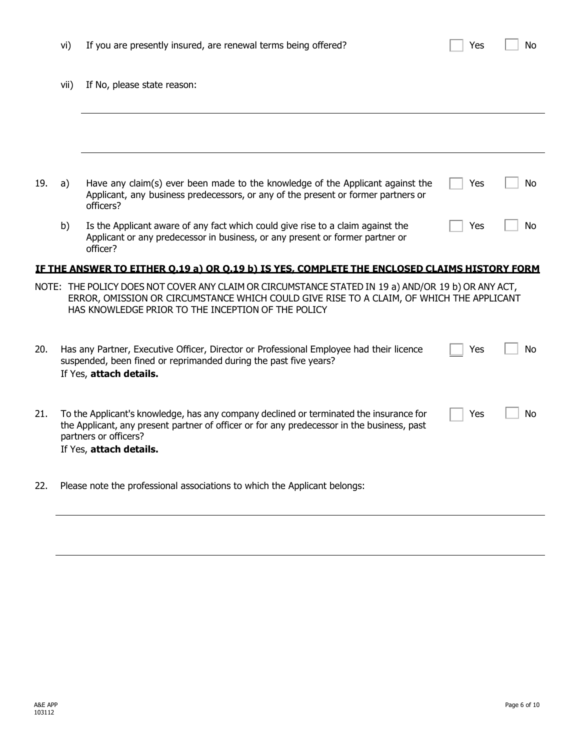|     | vii)                                                                                                                                                                                                                                                  | If No, please state reason:                                                                                                                                                                                                                          |     |    |  |
|-----|-------------------------------------------------------------------------------------------------------------------------------------------------------------------------------------------------------------------------------------------------------|------------------------------------------------------------------------------------------------------------------------------------------------------------------------------------------------------------------------------------------------------|-----|----|--|
|     |                                                                                                                                                                                                                                                       |                                                                                                                                                                                                                                                      |     |    |  |
| 19. | a)                                                                                                                                                                                                                                                    | Have any claim(s) ever been made to the knowledge of the Applicant against the<br>Applicant, any business predecessors, or any of the present or former partners or<br>officers?                                                                     | Yes | No |  |
|     | b)                                                                                                                                                                                                                                                    | Is the Applicant aware of any fact which could give rise to a claim against the<br>Applicant or any predecessor in business, or any present or former partner or<br>officer?                                                                         | Yes | No |  |
|     |                                                                                                                                                                                                                                                       | IF THE ANSWER TO EITHER 0.19 a) OR 0.19 b) IS YES, COMPLETE THE ENCLOSED CLAIMS HISTORY FORM                                                                                                                                                         |     |    |  |
|     |                                                                                                                                                                                                                                                       | NOTE: THE POLICY DOES NOT COVER ANY CLAIM OR CIRCUMSTANCE STATED IN 19 a) AND/OR 19 b) OR ANY ACT,<br>ERROR, OMISSION OR CIRCUMSTANCE WHICH COULD GIVE RISE TO A CLAIM, OF WHICH THE APPLICANT<br>HAS KNOWLEDGE PRIOR TO THE INCEPTION OF THE POLICY |     |    |  |
| 20. |                                                                                                                                                                                                                                                       | Has any Partner, Executive Officer, Director or Professional Employee had their licence<br>suspended, been fined or reprimanded during the past five years?<br>If Yes, attach details.                                                               | Yes | No |  |
| 21. | To the Applicant's knowledge, has any company declined or terminated the insurance for<br>No<br>Yes<br>the Applicant, any present partner of officer or for any predecessor in the business, past<br>partners or officers?<br>If Yes, attach details. |                                                                                                                                                                                                                                                      |     |    |  |
| 22. |                                                                                                                                                                                                                                                       | Please note the professional associations to which the Applicant belongs:                                                                                                                                                                            |     |    |  |

vi) If you are presently insured, are renewal terms being offered?  $\Box$  Yes  $\Box$  No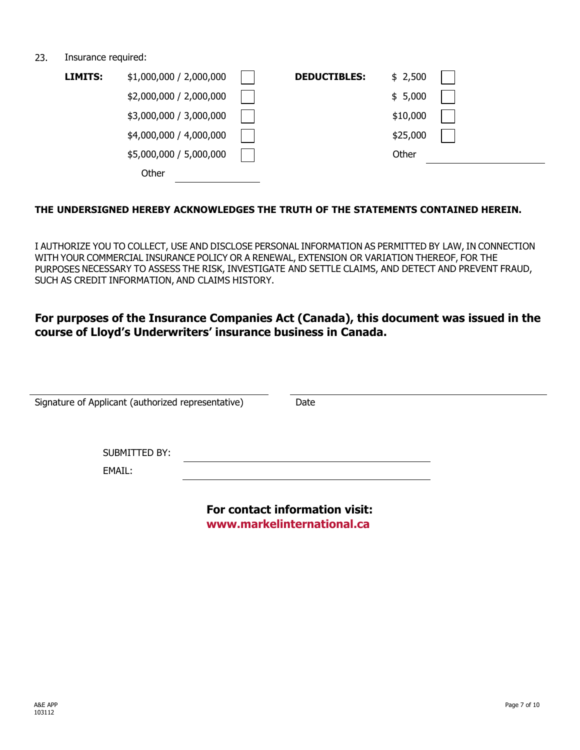#### 23. Insurance required:

| LIMITS: | \$1,000,000 / 2,000,000 | <b>DEDUCTIBLES:</b> | \$2,500  |  |
|---------|-------------------------|---------------------|----------|--|
|         | \$2,000,000 / 2,000,000 |                     | \$5,000  |  |
|         | \$3,000,000 / 3,000,000 |                     | \$10,000 |  |
|         | \$4,000,000 / 4,000,000 |                     | \$25,000 |  |
|         | \$5,000,000 / 5,000,000 |                     | Other    |  |
|         | Other                   |                     |          |  |

## **THE UNDERSIGNED HEREBY ACKNOWLEDGES THE TRUTH OF THE STATEMENTS CONTAINED HEREIN.**

I AUTHORIZE YOU TO COLLECT, USE AND DISCLOSE PERSONAL INFORMATION AS PERMITTED BY LAW, IN CONNECTION WITH YOUR COMMERCIAL INSURANCE POLICY OR A RENEWAL, EXTENSION OR VARIATION THEREOF, FOR THE PURPOSES NECESSARY TO ASSESS THE RISK, INVESTIGATE AND SETTLE CLAIMS, AND DETECT AND PREVENT FRAUD, SUCH AS CREDIT INFORMATION, AND CLAIMS HISTORY.

## **For purposes of the Insurance Companies Act (Canada), this document was issued in the course of Lloyd's Underwriters' insurance business in Canada.**

| Signature of Applicant (authorized representative) | Date                                                         |  |
|----------------------------------------------------|--------------------------------------------------------------|--|
| <b>SUBMITTED BY:</b><br>EMAIL:                     |                                                              |  |
|                                                    | For contact information visit:<br>www.markelinternational.ca |  |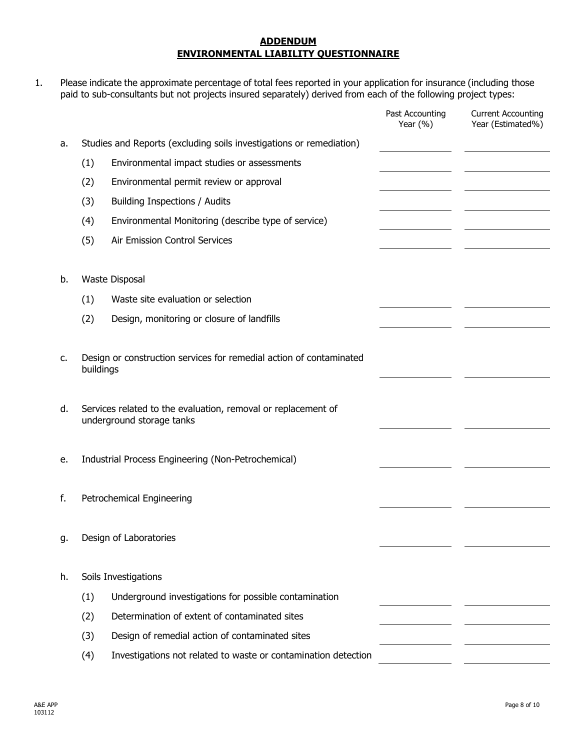#### **ADDENDUM ENVIRONMENTAL LIABILITY QUESTIONNAIRE**

1. Please indicate the approximate percentage of total fees reported in your application for insurance (including those paid to sub-consultants but not projects insured separately) derived from each of the following project types:

|    |           |                                                                                            | Past Accounting<br>Year $(\% )$ | <b>Current Accounting</b><br>Year (Estimated%) |
|----|-----------|--------------------------------------------------------------------------------------------|---------------------------------|------------------------------------------------|
| a. |           | Studies and Reports (excluding soils investigations or remediation)                        |                                 |                                                |
|    | (1)       | Environmental impact studies or assessments                                                |                                 |                                                |
|    | (2)       | Environmental permit review or approval                                                    |                                 |                                                |
|    | (3)       | Building Inspections / Audits                                                              |                                 |                                                |
|    | (4)       | Environmental Monitoring (describe type of service)                                        |                                 |                                                |
|    | (5)       | Air Emission Control Services                                                              |                                 |                                                |
|    |           |                                                                                            |                                 |                                                |
| b. |           | Waste Disposal                                                                             |                                 |                                                |
|    | (1)       | Waste site evaluation or selection                                                         |                                 |                                                |
|    | (2)       | Design, monitoring or closure of landfills                                                 |                                 |                                                |
|    |           |                                                                                            |                                 |                                                |
| c. |           | Design or construction services for remedial action of contaminated                        |                                 |                                                |
|    | buildings |                                                                                            |                                 |                                                |
|    |           |                                                                                            |                                 |                                                |
| d. |           | Services related to the evaluation, removal or replacement of<br>underground storage tanks |                                 |                                                |
|    |           |                                                                                            |                                 |                                                |
| e. |           | Industrial Process Engineering (Non-Petrochemical)                                         |                                 |                                                |
|    |           |                                                                                            |                                 |                                                |
| f. |           | Petrochemical Engineering                                                                  |                                 |                                                |
|    |           |                                                                                            |                                 |                                                |
| g. |           | Design of Laboratories                                                                     |                                 |                                                |
|    |           |                                                                                            |                                 |                                                |
| h. |           | Soils Investigations                                                                       |                                 |                                                |
|    | (1)       | Underground investigations for possible contamination                                      |                                 |                                                |
|    | (2)       | Determination of extent of contaminated sites                                              |                                 |                                                |
|    | (3)       | Design of remedial action of contaminated sites                                            |                                 |                                                |
|    | (4)       | Investigations not related to waste or contamination detection                             |                                 |                                                |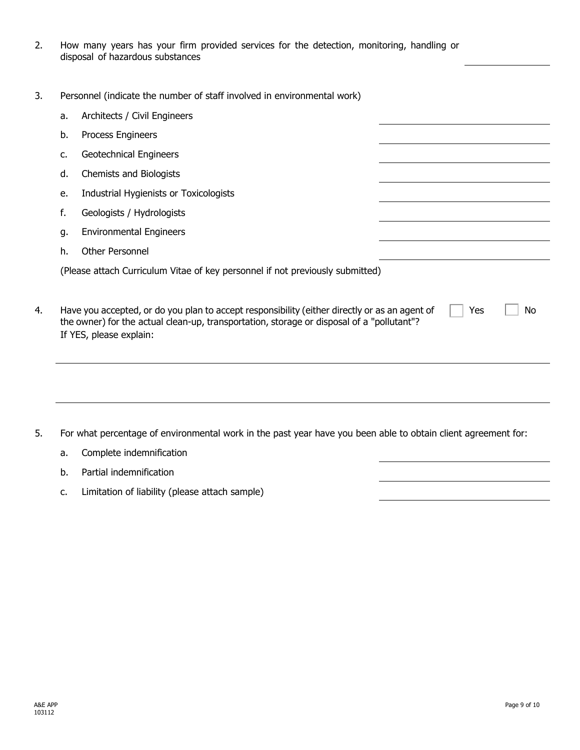- 2. How many years has your firm provided services for the detection, monitoring, handling or disposal of hazardous substances
- 3. Personnel (indicate the number of staff involved in environmental work)

| a. | Architects / Civil Engineers                                                                                                                                                                                                       |
|----|------------------------------------------------------------------------------------------------------------------------------------------------------------------------------------------------------------------------------------|
| b. | Process Engineers                                                                                                                                                                                                                  |
| c. | Geotechnical Engineers                                                                                                                                                                                                             |
| d. | Chemists and Biologists                                                                                                                                                                                                            |
| e. | Industrial Hygienists or Toxicologists                                                                                                                                                                                             |
| f. | Geologists / Hydrologists                                                                                                                                                                                                          |
| g. | <b>Environmental Engineers</b>                                                                                                                                                                                                     |
| h. | <b>Other Personnel</b>                                                                                                                                                                                                             |
|    | (Please attach Curriculum Vitae of key personnel if not previously submitted)                                                                                                                                                      |
|    | Have you accepted, or do you plan to accept responsibility (either directly or as an agent of<br>Yes<br>No<br>the owner) for the actual clean-up, transportation, storage or disposal of a "pollutant"?<br>If YES, please explain: |
|    |                                                                                                                                                                                                                                    |
|    | For what percentage of environmental work in the past year have you been able to obtain client agreement for:                                                                                                                      |
| a. | Complete indemnification                                                                                                                                                                                                           |

- b. Partial indemnification
- c. Limitation of liability (please attach sample)